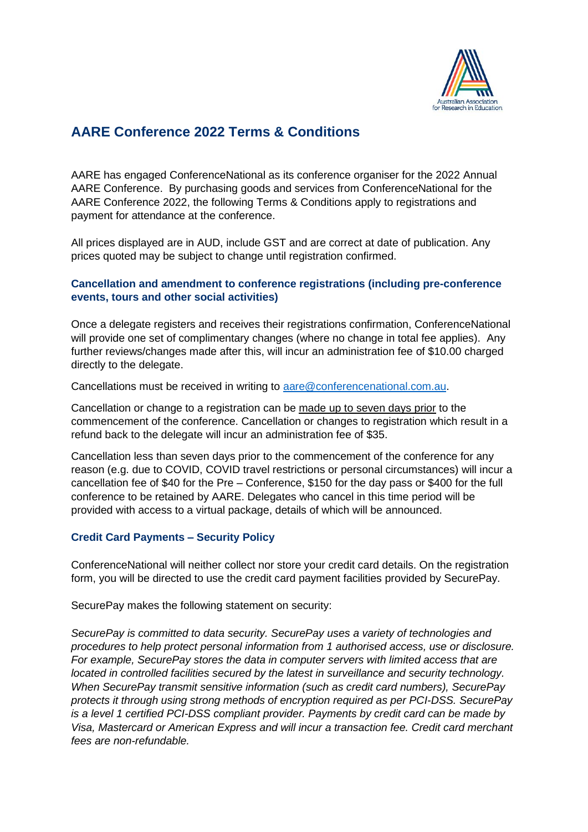

# **AARE Conference 2022 Terms & Conditions**

AARE has engaged ConferenceNational as its conference organiser for the 2022 Annual AARE Conference. By purchasing goods and services from ConferenceNational for the AARE Conference 2022, the following Terms & Conditions apply to registrations and payment for attendance at the conference.

All prices displayed are in AUD, include GST and are correct at date of publication. Any prices quoted may be subject to change until registration confirmed.

## **Cancellation and amendment to conference registrations (including pre-conference events, tours and other social activities)**

Once a delegate registers and receives their registrations confirmation, ConferenceNational will provide one set of complimentary changes (where no change in total fee applies). Any further reviews/changes made after this, will incur an administration fee of \$10.00 charged directly to the delegate.

Cancellations must be received in writing to [aare@conferencenational.com.au.](mailto:aare@conferencenational.com.au)

Cancellation or change to a registration can be made up to seven days prior to the commencement of the conference. Cancellation or changes to registration which result in a refund back to the delegate will incur an administration fee of \$35.

Cancellation less than seven days prior to the commencement of the conference for any reason (e.g. due to COVID, COVID travel restrictions or personal circumstances) will incur a cancellation fee of \$40 for the Pre – Conference, \$150 for the day pass or \$400 for the full conference to be retained by AARE. Delegates who cancel in this time period will be provided with access to a virtual package, details of which will be announced.

## **Credit Card Payments – Security Policy**

ConferenceNational will neither collect nor store your credit card details. On the registration form, you will be directed to use the credit card payment facilities provided by SecurePay.

SecurePay makes the following statement on security:

*SecurePay is committed to data security. SecurePay uses a variety of technologies and procedures to help protect personal information from 1 authorised access, use or disclosure. For example, SecurePay stores the data in computer servers with limited access that are located in controlled facilities secured by the latest in surveillance and security technology. When SecurePay transmit sensitive information (such as credit card numbers), SecurePay protects it through using strong methods of encryption required as per PCI-DSS. SecurePay is a level 1 certified PCI-DSS compliant provider. Payments by credit card can be made by Visa, Mastercard or American Express and will incur a transaction fee. Credit card merchant fees are non-refundable.*